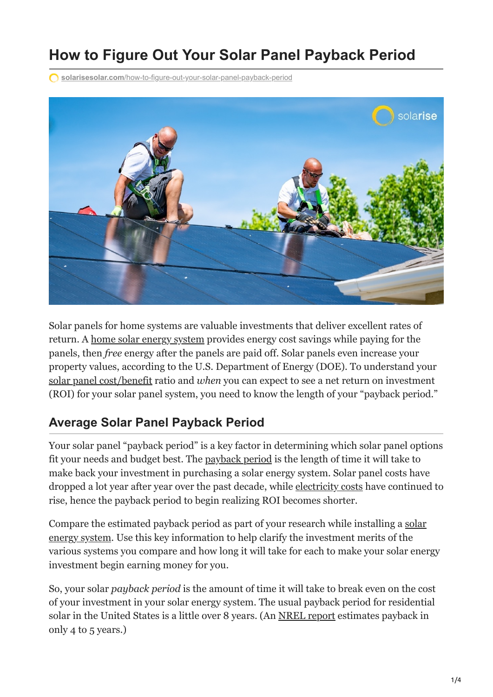# **How to Figure Out Your Solar Panel Payback Period**

**solarisesolar.com**[/how-to-figure-out-your-solar-panel-payback-period](https://www.solarisesolar.com/how-to-figure-out-your-solar-panel-payback-period/)



Solar panels for home systems are valuable investments that deliver excellent rates of return. A [home solar energy system](https://www.solarisesolar.com/) provides energy cost savings while paying for the panels, then *free* energy after the panels are paid off. Solar panels even increase your property values, according to the U.S. Department of Energy (DOE). To understand your [solar panel cost/benefit](https://www.solarisesolar.com/how-much-do-solar-panels-cost/) ratio and *when* you can expect to see a net return on investment (ROI) for your solar panel system, you need to know the length of your "payback period."

### **Average Solar Panel Payback Period**

Your solar panel "payback period" is a key factor in determining which solar panel options fit your needs and budget best. The [payback period](https://www.motherearthnews.com/renewable-energy/solar-power/home-solar-power) is the length of time it will take to make back your investment in purchasing a solar energy system. Solar panel costs have dropped a lot year after year over the past decade, while [electricity costs](https://www.solarisesolar.com/owning-a-solar-panel-system-vs-paying-electric-bills/) have continued to rise, hence the payback period to begin realizing ROI becomes shorter.

[Compare the estimated payback period as part of your research while installing a solar](https://www.solarisesolar.com/residential-solar-panel-installation-in-colorado/) energy system. Use this key information to help clarify the investment merits of the various systems you compare and how long it will take for each to make your solar energy investment begin earning money for you.

So, your solar *payback period* is the amount of time it will take to break even on the cost of your investment in your solar energy system. The usual payback period for residential solar in the United States is a little over 8 years. (An [NREL report](https://www.nrel.gov/docs/fy09osti/43844.pdf) estimates payback in only 4 to 5 years.)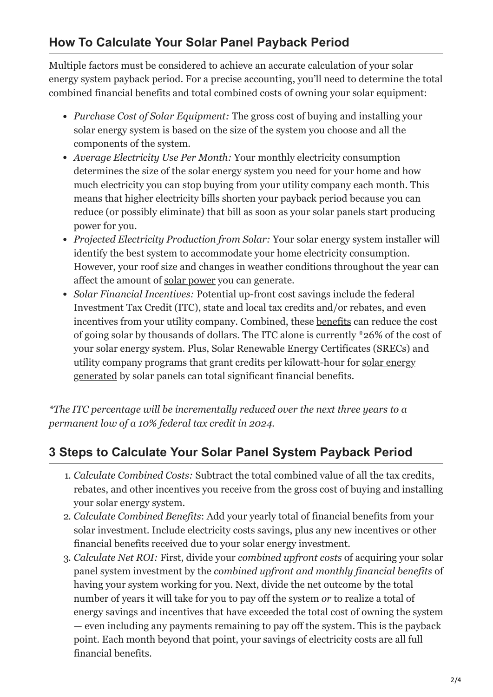# **How To Calculate Your Solar Panel Payback Period**

Multiple factors must be considered to achieve an accurate calculation of your solar energy system payback period. For a precise accounting, you'll need to determine the total combined financial benefits and total combined costs of owning your solar equipment:

- *Purchase Cost of Solar Equipment:* The gross cost of buying and installing your solar energy system is based on the size of the system you choose and all the components of the system.
- *Average Electricity Use Per Month:* Your monthly electricity consumption determines the size of the solar energy system you need for your home and how much electricity you can stop buying from your utility company each month. This means that higher electricity bills shorten your payback period because you can reduce (or possibly eliminate) that bill as soon as your solar panels start producing power for you.
- *Projected Electricity Production from Solar:* Your solar energy system installer will identify the best system to accommodate your home electricity consumption. However, your roof size and changes in weather conditions throughout the year can affect the amount of [solar power](https://www.solarisesolar.com/how-solar-works/) you can generate.
- *Solar Financial Incentives:* Potential up-front cost savings include the federal [Investment Tax Credit](https://www.solarisesolar.com/solar-tax-credits-in-colorado/) (ITC), state and local tax credits and/or rebates, and even incentives from your utility company. Combined, these [benefits](https://www.solarisesolar.com/solar-benefits/) can reduce the cost of going solar by thousands of dollars. The ITC alone is currently \*26% of the cost of your solar energy system. Plus, Solar Renewable Energy Certificates (SRECs) and [utility company programs that grant credits per kilowatt-hour for solar energy](https://www.solarisesolar.com/how-solar-works/) generated by solar panels can total significant financial benefits.

*\*The ITC percentage will be incrementally reduced over the next three years to a permanent low of a 10% federal tax credit in 2024.*

## **3 Steps to Calculate Your Solar Panel System Payback Period**

- 1. *Calculate Combined Costs:* Subtract the total combined value of all the tax credits, rebates, and other incentives you receive from the gross cost of buying and installing your solar energy system.
- 2. *Calculate Combined Benefits*: Add your yearly total of financial benefits from your solar investment. Include electricity costs savings, plus any new incentives or other financial benefits received due to your solar energy investment.
- 3. *Calculate Net ROI:* First, divide your *combined upfront costs* of acquiring your solar panel system investment by the *combined upfront and monthly financial benefits* of having your system working for you. Next, divide the net outcome by the total number of years it will take for you to pay off the system *or* to realize a total of energy savings and incentives that have exceeded the total cost of owning the system — even including any payments remaining to pay off the system. This is the payback point. Each month beyond that point, your savings of electricity costs are all full financial benefits.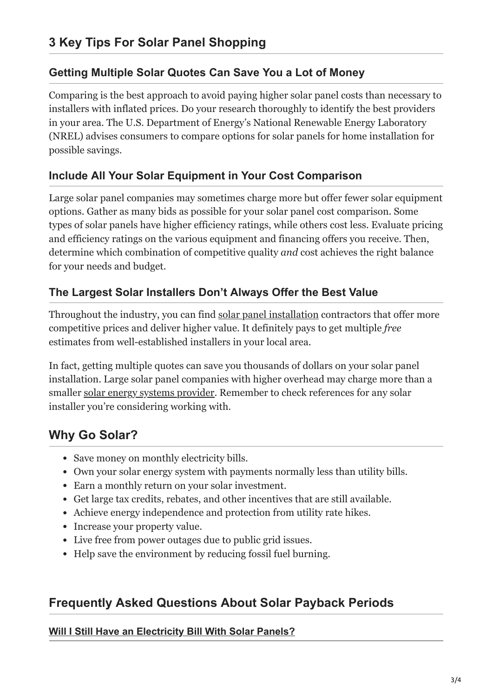### **Getting Multiple Solar Quotes Can Save You a Lot of Money**

Comparing is the best approach to avoid paying higher solar panel costs than necessary to installers with inflated prices. Do your research thoroughly to identify the best providers in your area. The U.S. Department of Energy's National Renewable Energy Laboratory (NREL) advises consumers to compare options for solar panels for home installation for possible savings.

### **Include All Your Solar Equipment in Your Cost Comparison**

Large solar panel companies may sometimes charge more but offer fewer solar equipment options. Gather as many bids as possible for your solar panel cost comparison. Some types of solar panels have higher efficiency ratings, while others cost less. Evaluate pricing and efficiency ratings on the various equipment and financing offers you receive. Then, determine which combination of competitive quality *and* cost achieves the right balance for your needs and budget.

### **The Largest Solar Installers Don't Always Offer the Best Value**

Throughout the industry, you can find [solar panel installation](https://www.solarisesolar.com/residential-solar-panel-installation-in-colorado/) contractors that offer more competitive prices and deliver higher value. It definitely pays to get multiple *free* estimates from well-established installers in your local area.

In fact, getting multiple quotes can save you thousands of dollars on your solar panel installation. Large solar panel companies with higher overhead may charge more than a smaller [solar energy systems provider](https://www.solarisesolar.com/contact/). Remember to check references for any solar installer you're considering working with.

# **Why Go Solar?**

- Save money on monthly electricity bills.
- Own your solar energy system with payments normally less than utility bills.
- Earn a monthly return on your solar investment.
- Get large tax credits, rebates, and other incentives that are still available.
- Achieve energy independence and protection from utility rate hikes.
- Increase your property value.
- Live free from power outages due to public grid issues.
- Help save the environment by reducing fossil fuel burning.

### **Frequently Asked Questions About Solar Payback Periods**

#### **[Will I Still Have an Electricity Bill With Solar Panels?](#page-3-0)**